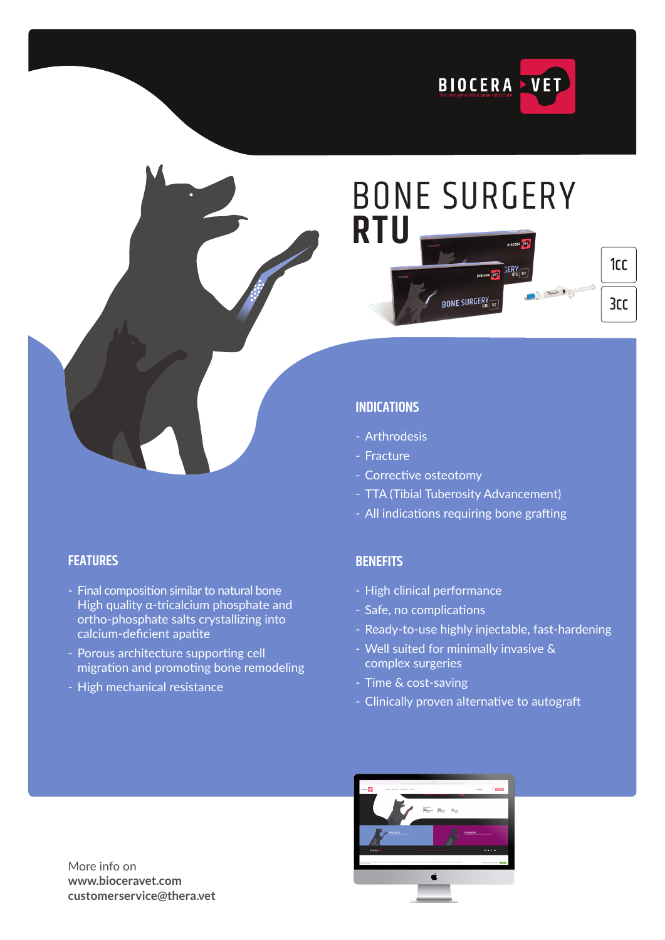

# BONE SURGERY **RTU BONE SURGERY**

### 3cc 1cc

### **INDICATIONS**

- Arthrodesis
- Fracture
- Corrective osteotomy
- TTA (Tibial Tuberosity Advancement)
- All indications requiring bone grafting

### **BENEFITS**

- High clinical performance
- Safe, no complications
- Ready-to-use highly injectable, fast-hardening
- Well suited for minimally invasive & complex surgeries
- Time & cost-saving
- Clinically proven alternative to autograft

More info on **www.bioceravet.com customerservice@thera.vet**

### **FEATURES**

- Final composition similar to natural bone High quality α-tricalcium phosphate and ortho-phosphate salts crystallizing into calcium-deficient apatite
- Porous architecture supporting cell migration and promoting bone remodeling
- High mechanical resistance

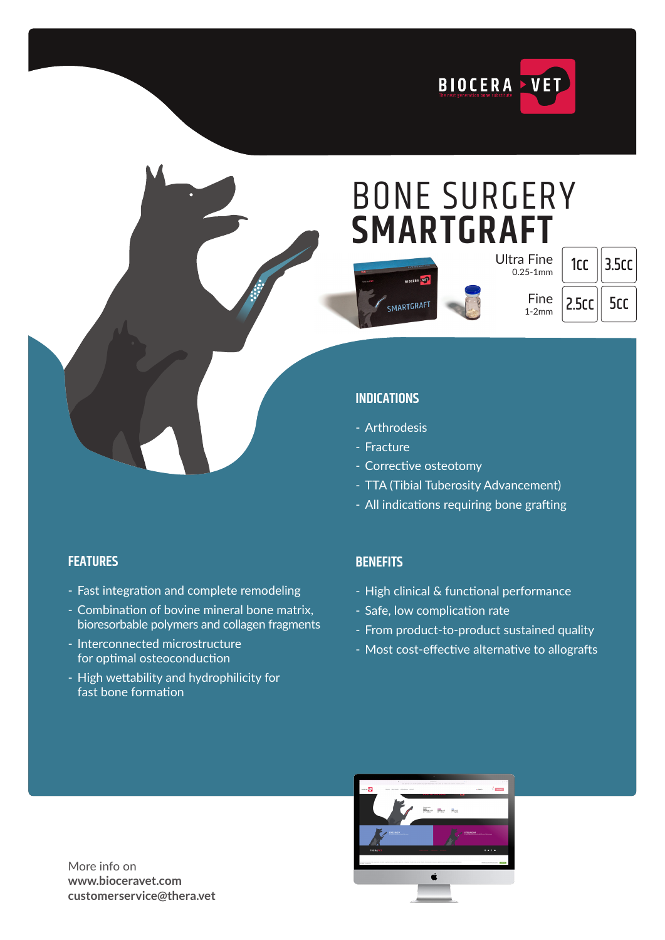

### BONE SURGERY **SMARTGRAFT**



| Ultra Fine<br>$0.25 - 1$ mm |
|-----------------------------|
| Fine<br>1-2mm               |

| rг  | 3.5cc |
|-----|-------|
| 5cr | 5cr   |

### **INDICATIONS**

- Arthrodesis
- Fracture
- Corrective osteotomy
- TTA (Tibial Tuberosity Advancement)
- All indications requiring bone grafting

### **FEATURES**

- Fast integration and complete remodeling
- Combination of bovine mineral bone matrix, bioresorbable polymers and collagen fragments
- Interconnected microstructure for optimal osteoconduction
- High wettability and hydrophilicity for fast bone formation

### **BENEFITS**

- High clinical & functional performance
- Safe, low complication rate
- From product-to-product sustained quality
- Most cost-effective alternative to allografts



More info on **www.bioceravet.com customerservice@thera.vet**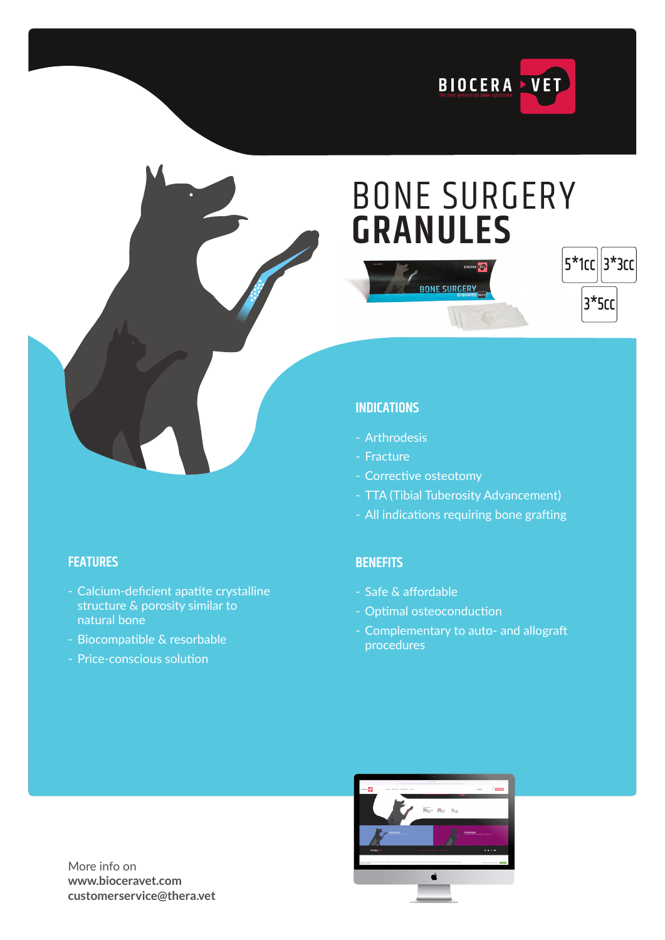

## BONE SURGERY **GRANULES**

**BONE SURGERY** 



### **INDICATIONS**

- Arthrodesis
- Fracture
- Corrective osteotomy
- TTA (Tibial Tuberosity Advancement)
- All indications requiring bone grafting

### **BENEFITS**

- Safe & affordable
- Optimal osteoconduction
- Complementary to auto- and allograft procedures

### **FEATURES**

- Calcium-deficient apatite crystalline structure & porosity similar to natural bone
- Biocompatible & resorbable
- Price-conscious solution



More info on **www.bioceravet.com customerservice@thera.vet**